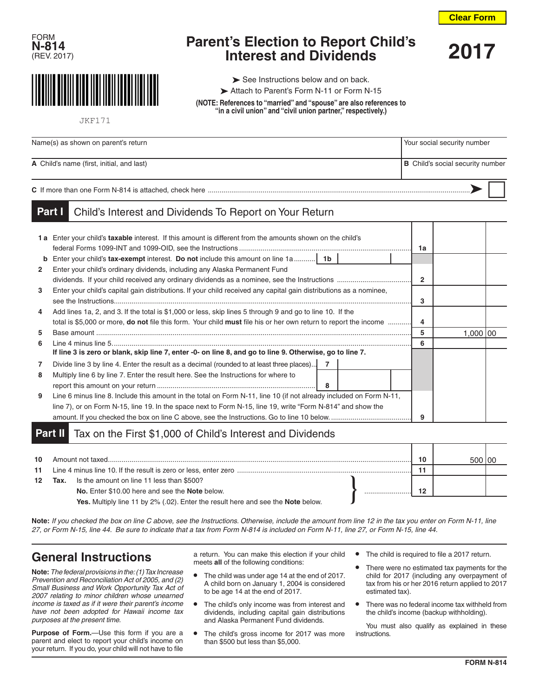





**Parent's Election to Report Child's Interest and Dividends 2017**

 $\blacktriangleright$  See Instructions below and on back.

Attach to Parent's Form N-11 or Form N-15

**(NOTE: References to "married" and "spouse" are also references to "in a civil union" and "civil union partner," respectively.)**

JKF171

| Name(s) as shown on parent's return       | Your social security number             |
|-------------------------------------------|-----------------------------------------|
| A Child's name (first, initial, and last) | <b>B</b> Child's social security number |
|                                           |                                         |

## Child's Interest and Dividends To Report on Your Return **Part I**

|              | 1a Enter your child's taxable interest. If this amount is different from the amounts shown on the child's                      | 1a |            |  |
|--------------|--------------------------------------------------------------------------------------------------------------------------------|----|------------|--|
| b            |                                                                                                                                |    |            |  |
| $\mathbf{2}$ | Enter your child's ordinary dividends, including any Alaska Permanent Fund                                                     |    |            |  |
|              |                                                                                                                                |    |            |  |
| 3            | Enter your child's capital gain distributions. If your child received any capital gain distributions as a nominee,             |    |            |  |
|              |                                                                                                                                | 3  |            |  |
| 4            | Add lines 1a, 2, and 3. If the total is \$1,000 or less, skip lines 5 through 9 and go to line 10. If the                      |    |            |  |
|              | total is \$5,000 or more, <b>do not</b> file this form. Your child <b>must</b> file his or her own return to report the income |    |            |  |
| 5            |                                                                                                                                | 5  | 1,000   00 |  |
| 6            |                                                                                                                                | 6  |            |  |
|              | If line 3 is zero or blank, skip line 7, enter -0- on line 8, and go to line 9. Otherwise, go to line 7.                       |    |            |  |
|              | $\overline{7}$<br>Divide line 3 by line 4. Enter the result as a decimal (rounded to at least three places)                    |    |            |  |
| 8            | Multiply line 6 by line 7. Enter the result here. See the Instructions for where to                                            |    |            |  |
|              | - 8                                                                                                                            |    |            |  |
| 9            | Line 6 minus line 8. Include this amount in the total on Form N-11, line 10 (if not already included on Form N-11,             |    |            |  |
|              | line 7), or on Form N-15, line 19. In the space next to Form N-15, line 19, write "Form N-814" and show the                    |    |            |  |
|              |                                                                                                                                | 9  |            |  |

## Tax on the First \$1,000 of Child's Interest and Dividends **Part II**

| 10               |      | Amount not taxed                                                                 |  | 10 |  |
|------------------|------|----------------------------------------------------------------------------------|--|----|--|
| 11               |      |                                                                                  |  |    |  |
| 12 <sup>12</sup> | Tax. | Is the amount on line 11 less than \$500?                                        |  |    |  |
|                  |      | No. Enter \$10.00 here and see the Note below.                                   |  | 12 |  |
|                  |      | Yes. Multiply line 11 by 2% (.02). Enter the result here and see the Note below. |  |    |  |

**Note:** *If you checked the box on line C above, see the Instructions. Otherwise, include the amount from line 12 in the tax you enter on Form N-11, line 27, or Form N-15, line 44. Be sure to indicate that a tax from Form N-814 is included on Form N-11, line 27, or Form N-15, line 44.*

## **General Instructions**

**Note:***The federal provisions in the: (1) Tax Increase Prevention and Reconciliation Act of 2005, and (2) Small Business and Work Opportunity Tax Act of 2007 relating to minor children whose unearned income is taxed as if it were their parent's income have not been adopted for Hawaii income tax purposes at the present time.*

**Purpose of Form.**—Use this form if you are a parent and elect to report your child's income on your return. If you do, your child will not have to file a return. You can make this election if your child meets **all** of the following conditions:

- **•** The child was under age 14 at the end of 2017. A child born on January 1, 2004 is considered to be age 14 at the end of 2017.
- **•** The child's only income was from interest and dividends, including capital gain distributions and Alaska Permanent Fund dividends.
- **•** The child's gross income for 2017 was more than \$500 but less than \$5,000.
- **•** The child is required to file a 2017 return.
- **•** There were no estimated tax payments for the child for 2017 (including any overpayment of tax from his or her 2016 return applied to 2017 estimated tax).
- **•** There was no federal income tax withheld from the child's income (backup withholding).

You must also qualify as explained in these instructions.